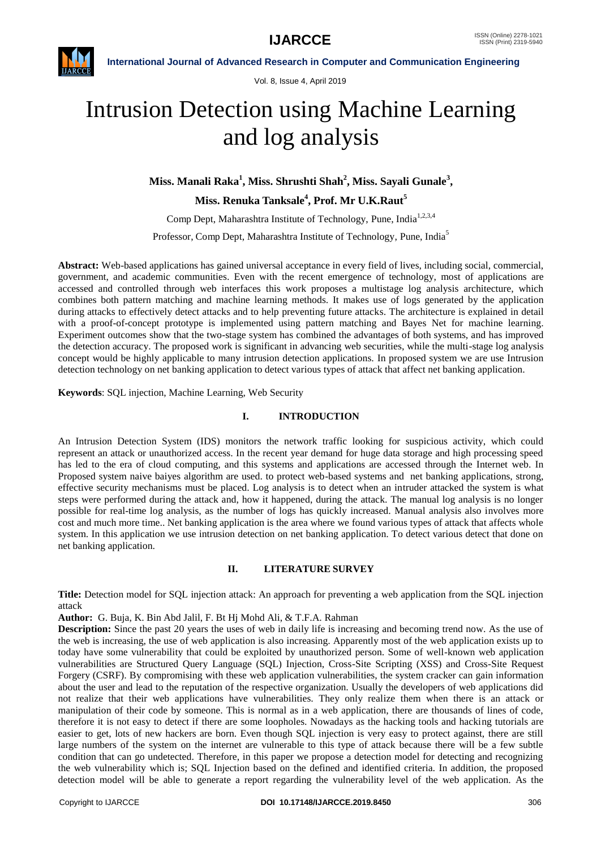

Vol. 8, Issue 4, April 2019

# Intrusion Detection using Machine Learning and log analysis

**Miss. Manali Raka<sup>1</sup> , Miss. Shrushti Shah<sup>2</sup> , Miss. Sayali Gunale<sup>3</sup> ,**

**Miss. Renuka Tanksale<sup>4</sup> , Prof. Mr U.K.Raut<sup>5</sup>**

Comp Dept, Maharashtra Institute of Technology, Pune, India<sup>1,2,3,4</sup>

Professor, Comp Dept, Maharashtra Institute of Technology, Pune, India<sup>5</sup>

**Abstract:** Web-based applications has gained universal acceptance in every field of lives, including social, commercial, government, and academic communities. Even with the recent emergence of technology, most of applications are accessed and controlled through web interfaces this work proposes a multistage log analysis architecture, which combines both pattern matching and machine learning methods. It makes use of logs generated by the application during attacks to effectively detect attacks and to help preventing future attacks. The architecture is explained in detail with a proof-of-concept prototype is implemented using pattern matching and Bayes Net for machine learning. Experiment outcomes show that the two-stage system has combined the advantages of both systems, and has improved the detection accuracy. The proposed work is significant in advancing web securities, while the multi-stage log analysis concept would be highly applicable to many intrusion detection applications. In proposed system we are use Intrusion detection technology on net banking application to detect various types of attack that affect net banking application.

**Keywords**: SQL injection, Machine Learning, Web Security

## **I. INTRODUCTION**

An Intrusion Detection System (IDS) monitors the network traffic looking for suspicious activity, which could represent an attack or unauthorized access. In the recent year demand for huge data storage and high processing speed has led to the era of cloud computing, and this systems and applications are accessed through the Internet web. In Proposed system naive baiyes algorithm are used. to protect web-based systems and net banking applications, strong, effective security mechanisms must be placed. Log analysis is to detect when an intruder attacked the system is what steps were performed during the attack and, how it happened, during the attack. The manual log analysis is no longer possible for real-time log analysis, as the number of logs has quickly increased. Manual analysis also involves more cost and much more time.. Net banking application is the area where we found various types of attack that affects whole system. In this application we use intrusion detection on net banking application. To detect various detect that done on net banking application.

# **II. LITERATURE SURVEY**

**Title:** Detection model for SQL injection attack: An approach for preventing a web application from the SQL injection attack

**Author:** G. Buja, K. Bin Abd Jalil, F. Bt Hj Mohd Ali, & T.F.A. Rahman

**Description:** Since the past 20 years the uses of web in daily life is increasing and becoming trend now. As the use of the web is increasing, the use of web application is also increasing. Apparently most of the web application exists up to today have some vulnerability that could be exploited by unauthorized person. Some of well-known web application vulnerabilities are Structured Query Language (SQL) Injection, Cross-Site Scripting (XSS) and Cross-Site Request Forgery (CSRF). By compromising with these web application vulnerabilities, the system cracker can gain information about the user and lead to the reputation of the respective organization. Usually the developers of web applications did not realize that their web applications have vulnerabilities. They only realize them when there is an attack or manipulation of their code by someone. This is normal as in a web application, there are thousands of lines of code, therefore it is not easy to detect if there are some loopholes. Nowadays as the hacking tools and hacking tutorials are easier to get, lots of new hackers are born. Even though SQL injection is very easy to protect against, there are still large numbers of the system on the internet are vulnerable to this type of attack because there will be a few subtle condition that can go undetected. Therefore, in this paper we propose a detection model for detecting and recognizing the web vulnerability which is; SQL Injection based on the defined and identified criteria. In addition, the proposed detection model will be able to generate a report regarding the vulnerability level of the web application. As the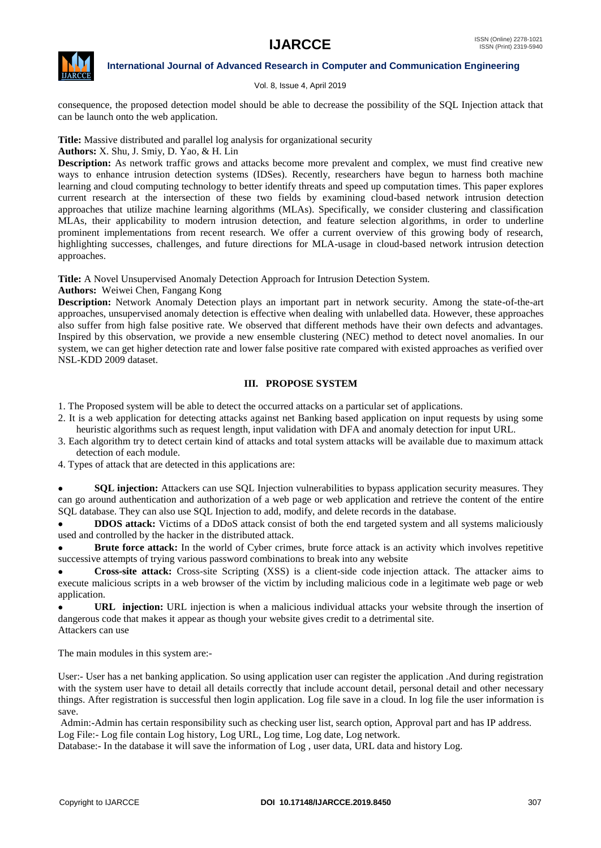

#### Vol. 8, Issue 4, April 2019

consequence, the proposed detection model should be able to decrease the possibility of the SQL Injection attack that can be launch onto the web application.

**Title:** Massive distributed and parallel log analysis for organizational security

**Authors:** X. Shu, J. Smiy, D. Yao, & H. Lin

**Description:** As network traffic grows and attacks become more prevalent and complex, we must find creative new ways to enhance intrusion detection systems (IDSes). Recently, researchers have begun to harness both machine learning and cloud computing technology to better identify threats and speed up computation times. This paper explores current research at the intersection of these two fields by examining cloud-based network intrusion detection approaches that utilize machine learning algorithms (MLAs). Specifically, we consider clustering and classification MLAs, their applicability to modern intrusion detection, and feature selection algorithms, in order to underline prominent implementations from recent research. We offer a current overview of this growing body of research, highlighting successes, challenges, and future directions for MLA-usage in cloud-based network intrusion detection approaches.

**Title:** A Novel Unsupervised Anomaly Detection Approach for Intrusion Detection System.

**Authors:** Weiwei Chen, Fangang Kong

**Description:** Network Anomaly Detection plays an important part in network security. Among the state-of-the-art approaches, unsupervised anomaly detection is effective when dealing with unlabelled data. However, these approaches also suffer from high false positive rate. We observed that different methods have their own defects and advantages. Inspired by this observation, we provide a new ensemble clustering (NEC) method to detect novel anomalies. In our system, we can get higher detection rate and lower false positive rate compared with existed approaches as verified over NSL-KDD 2009 dataset.

# **III. PROPOSE SYSTEM**

1. The Proposed system will be able to detect the occurred attacks on a particular set of applications.

- 2. It is a web application for detecting attacks against net Banking based application on input requests by using some heuristic algorithms such as request length, input validation with DFA and anomaly detection for input URL.
- 3. Each algorithm try to detect certain kind of attacks and total system attacks will be available due to maximum attack detection of each module.
- 4. Types of attack that are detected in this applications are:

**SQL injection:** Attackers can use SQL Injection vulnerabilities to bypass application security measures. They can go around authentication and authorization of a web page or web application and retrieve the content of the entire SQL database. They can also use SQL Injection to add, modify, and delete records in the database.

• **DDOS attack:** Victims of a DDoS attack consist of both the end targeted system and all systems maliciously used and controlled by the hacker in the distributed attack.

 **Brute force attack:** In the world of Cyber crimes, brute force attack is an activity which involves repetitive successive attempts of trying various password combinations to break into any website

**Cross-site attack:** Cross-site Scripting (XSS) is a client-side code injection attack. The attacker aims to execute malicious scripts in a web browser of the victim by including malicious code in a legitimate web page or web application.

 **URL injection:** URL injection is when a malicious individual attacks your website through the insertion of dangerous code that makes it appear as though your website gives credit to a detrimental site. Attackers can use

The main modules in this system are:-

User:- User has a net banking application. So using application user can register the application .And during registration with the system user have to detail all details correctly that include account detail, personal detail and other necessary things. After registration is successful then login application. Log file save in a cloud. In log file the user information is save.

Admin:-Admin has certain responsibility such as checking user list, search option, Approval part and has IP address. Log File:- Log file contain Log history, Log URL, Log time, Log date, Log network.

Database:- In the database it will save the information of Log , user data, URL data and history Log.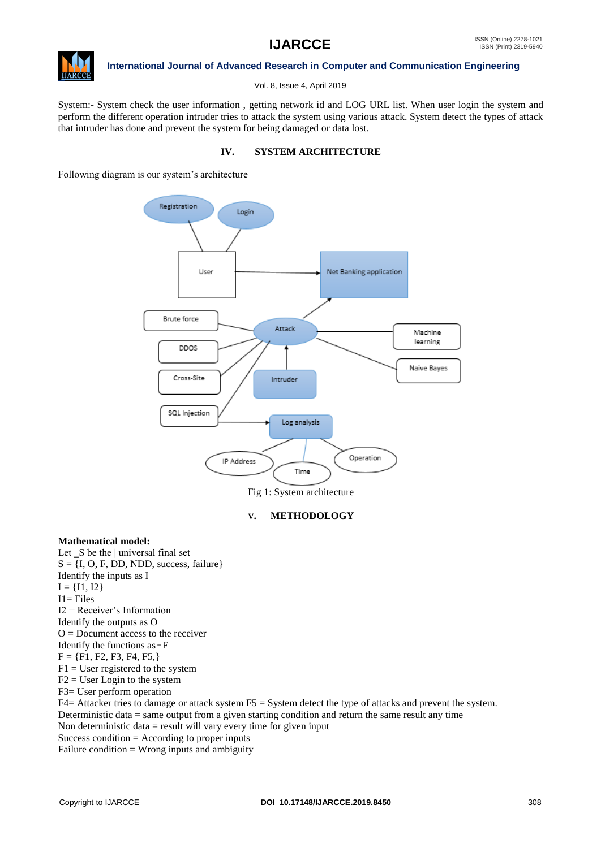

Vol. 8, Issue 4, April 2019

System:- System check the user information , getting network id and LOG URL list. When user login the system and perform the different operation intruder tries to attack the system using various attack. System detect the types of attack that intruder has done and prevent the system for being damaged or data lost.

## **IV. SYSTEM ARCHITECTURE**

Following diagram is our system's architecture



Fig 1: System architecture

# **V. METHODOLOGY**

#### **Mathematical model:**

Let  $\_\mathbf{S}$  be the | universal final set  $S = \{I, O, F, DD, NDD, success, failure\}$ Identify the inputs as I  $I = \{I1, I2\}$ I1= Files I2 = Receiver's Information Identify the outputs as O  $O =$  Document access to the receiver Identify the functions as  $-F$  $F = \{F1, F2, F3, F4, F5, \}$  $F1 =$ User registered to the system  $F2 = User Logic$  to the system F3= User perform operation  $F4=$  Attacker tries to damage or attack system  $F5 =$  System detect the type of attacks and prevent the system. Deterministic data = same output from a given starting condition and return the same result any time Non deterministic data  $=$  result will vary every time for given input Success condition  $=$  According to proper inputs Failure condition = Wrong inputs and ambiguity